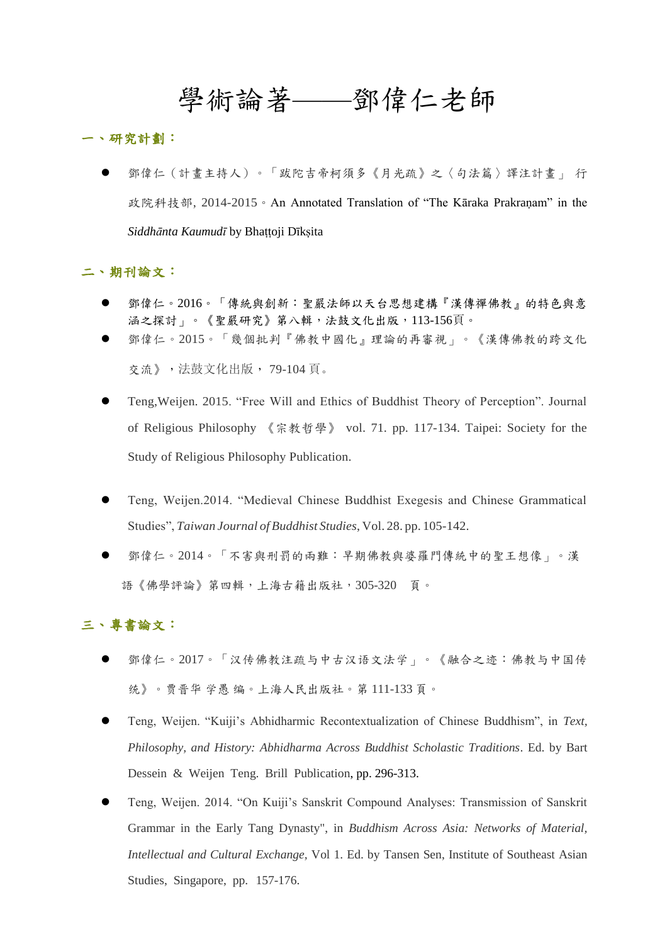# 學術論著——鄧偉仁老師

#### 一、研究計劃:

 鄧偉仁(計畫主持人)。「跋陀吉帝柯須多《月光疏》之〈句法篇〉譯注計畫」 行 政院科技部, 2014-2015。An Annotated Translation of "The Kāraka Prakranam" in the *Siddhānta Kaumudī* by Bhaṭṭoji Dīkṣita

### 二、期刊論文:

- 鄧偉仁。2016。「傳統與創新:聖嚴法師以天台思想建構『漢傳禪佛教』的特色與意 涵之探討」。《聖嚴研究》第八輯,法鼓文化出版,113-156頁。
- 鄧偉仁。2015。「幾個批判『佛教中國化』理論的再審視」。《漢傳佛教的跨文化 交流》,法鼓文化出版, 79-104 頁。
- Teng,Weijen. 2015. "Free Will and Ethics of Buddhist Theory of Perception". Journal of Religious Philosophy 《宗教哲學》 vol. 71. pp. 117-134. Taipei: Society for the Study of Religious Philosophy Publication.
- Teng, Weijen.2014. "Medieval Chinese Buddhist Exegesis and Chinese Grammatical Studies", *Taiwan Journal of Buddhist Studies*, Vol. 28. pp. 105-142.
- 鄧偉仁。2014。「不害與刑罰的兩難:早期佛教與婆羅門傳統中的聖王想像」。漢 語《佛學評論》第四輯,上海古籍出版社,305-320 頁。

# 三、專書論文:

- 鄧偉仁。2017。「汉传佛教注疏与中古汉语文法学」。《融合之迹:佛教与中国传 统》。贾晋华 学愚 编。上海人民出版社。第 111-133 頁。
- Teng, Weijen. "Kuiji's Abhidharmic Recontextualization of Chinese Buddhism", in *Text, Philosophy, and History: Abhidharma Across Buddhist Scholastic Traditions*. Ed. by Bart Dessein & Weijen Teng. Brill Publication, pp. 296-313.
- Teng, Weijen. 2014. "On Kuiji's Sanskrit Compound Analyses: Transmission of Sanskrit Grammar in the Early Tang Dynasty", in *Buddhism Across Asia: Networks of Material, Intellectual and Cultural Exchange,* Vol 1. Ed. by Tansen Sen, Institute of Southeast Asian Studies, Singapore, pp. 157-176.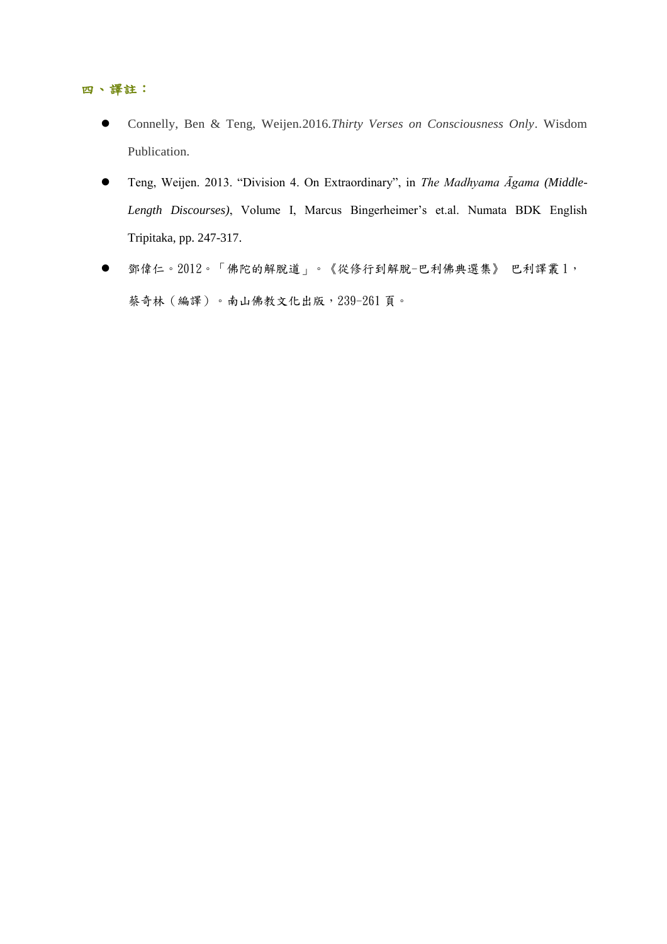- Connelly, Ben & Teng, Weijen.2016.*Thirty Verses on Consciousness Only*. Wisdom Publication.
- Teng, Weijen. 2013. "Division 4. On Extraordinary", in *The Madhyama Āgama (Middle-Length Discourses)*, Volume I, Marcus Bingerheimer's et.al. Numata BDK English Tripitaka, pp. 247-317.
- 鄧偉仁。2012。「佛陀的解脫道」。《從修行到解脫-巴利佛典選集》 巴利譯叢 1, 蔡奇林(編譯)。南山佛教文化出版,239-261 頁。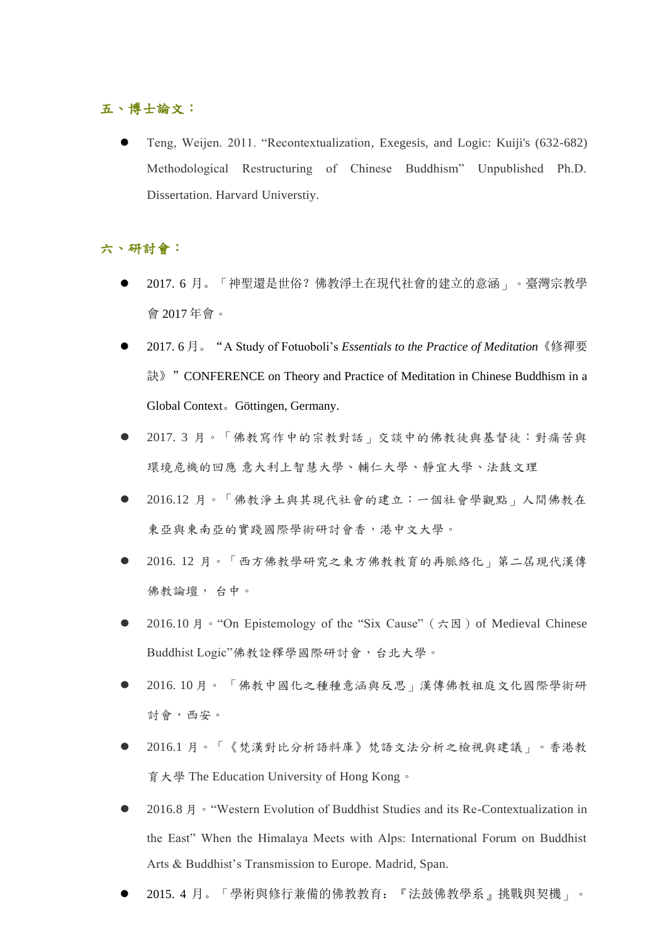## 五、博士論文:

 Teng, Weijen. 2011. "Recontextualization, Exegesis, and Logic: Kuiji's (632-682) Methodological Restructuring of Chinese Buddhism" Unpublished Ph.D. Dissertation. Harvard Universtiy.

## 六、研討會:

- 2017. 6 月。「神聖還是世俗?佛教淨土在現代社會的建立的意涵」。臺灣宗教學 會 2017 年會。
- 2017. 6 月。"A Study of Fotuoboli's *Essentials to the Practice of Meditation*《修禪要 訣》"CONFERENCE on Theory and Practice of Meditation in Chinese Buddhism in a Global Context。Göttingen, Germany.
- 2017. 3 月。「佛教寫作中的宗教對話」交談中的佛教徒與基督徒:對痛苦與 環境危機的回應 意大利上智慧大學、輔仁大學、靜宜大學、法鼓文理
- 2016.12 月。「佛教淨土與其現代社會的建立:一個社會學觀點」人間佛教在 東亞與東南亞的實踐國際學術研討會香,港中文大學。
- 2016. 12 月。「西方佛教學研究之東方佛教教育的再脈絡化」第二屆現代漢傳 佛教論壇, 台中。
- 2016.10 月。"On Epistemology of the "Six Cause" (六因) of Medieval Chinese Buddhist Logic"佛教詮釋學國際研討會,台北大學。
- 2016. 10 月。 「佛教中國化之種種意涵與反思」漢傳佛教祖庭文化國際學術研 討會,西安。
- 2016.1 月。「《梵漢對比分析語料庫》梵語文法分析之檢視與建議」。香港教 育大學 The Education University of Hong Kong。
- 2016.8 月。"Western Evolution of Buddhist Studies and its Re-Contextualization in the East" When the Himalaya Meets with Alps: International Forum on Buddhist Arts & Buddhist's Transmission to Europe. Madrid, Span.
- 2015. 4 月。「學術與修行兼備的佛教教育:『法鼓佛教學系』挑戰與契機」。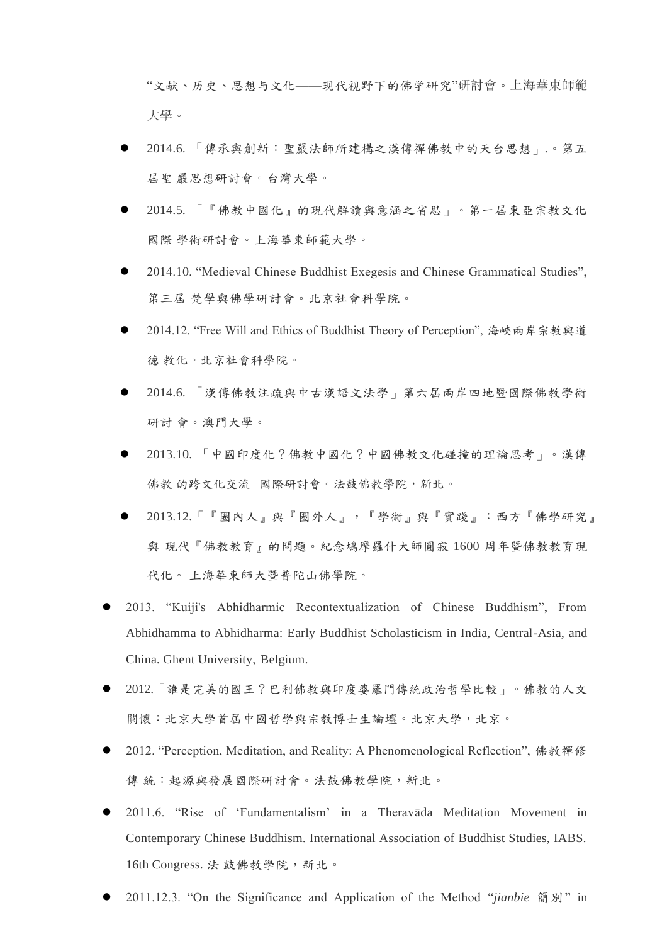"文献、历史、思想与文化——现代视野下的佛学研究"研討會。上海華東師範 大學。

- 2014.6. 「傳承與創新:聖嚴法師所建構之漢傳禪佛教中的天台思想」.。第五 屆聖 嚴思想研討會。台灣大學。
- 2014.5. 「『佛教中國化』的現代解讀與意涵之省思」。第一屆東亞宗教文化 國際 學術研討會。上海華東師範大學。
- 2014.10. "Medieval Chinese Buddhist Exegesis and Chinese Grammatical Studies", 第三屆 梵學與佛學研討會。北京社會科學院。
- 2014.12. "Free Will and Ethics of Buddhist Theory of Perception", 海峽兩岸宗教與道 德 教化。北京社會科學院。
- 2014.6. 「漢傳佛教注疏與中古漢語文法學」第六屆兩岸四地暨國際佛教學術 研討 會。澳門大學。
- 2013.10. 「中國印度化?佛教中國化?中國佛教文化碰撞的理論思考」。漢傳 佛教 的跨文化交流 國際研討會。法鼓佛教學院,新北。
- 2013.12.「『圈內人』與『圈外人』,『學術』與『實踐』:西方『佛學研究』 與 現代『佛教教育』的問題。紀念鳩摩羅什大師圓寂 1600 周年暨佛教教育現 代化。 上海華東師大暨普陀山佛學院。
- 2013. "Kuiji's Abhidharmic Recontextualization of Chinese Buddhism", From Abhidhamma to Abhidharma: Early Buddhist Scholasticism in India, Central-Asia, and China. Ghent University, Belgium.
- 2012.「誰是完美的國王?巴利佛教與印度婆羅門傳統政治哲學比較」。佛教的人文 關懷:北京大學首屆中國哲學與宗教博士生論壇。北京大學,北京。
- 2012. "Perception, Meditation, and Reality: A Phenomenological Reflection", 佛教禪修 傳統:起源與發展國際研討會。法鼓佛教學院,新北。
- 2011.6. "Rise of 'Fundamentalism' in a Theravāda Meditation Movement in Contemporary Chinese Buddhism. International Association of Buddhist Studies, IABS. 16th Congress. 法 鼓佛教學院, 新北。
- 2011.12.3. "On the Significance and Application of the Method "*jianbie* 簡別" in